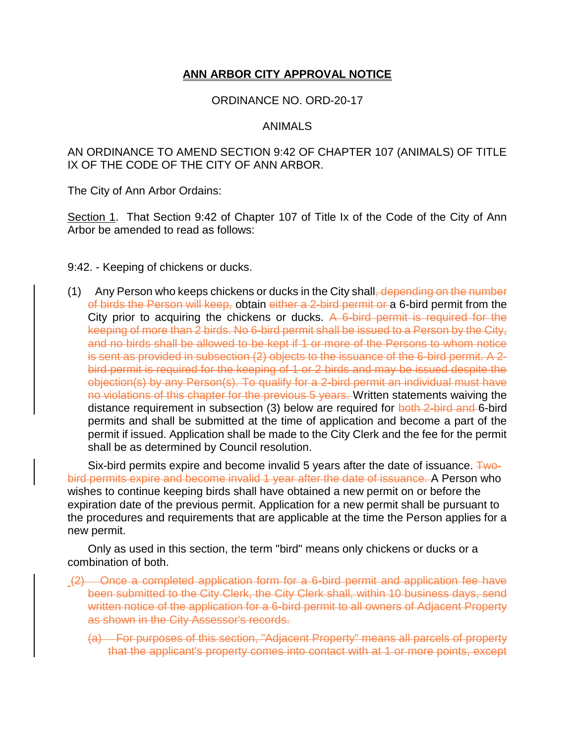## **ANN ARBOR CITY APPROVAL NOTICE**

## ORDINANCE NO. ORD-20-17

## ANIMALS

AN ORDINANCE TO AMEND SECTION 9:42 OF CHAPTER 107 (ANIMALS) OF TITLE IX OF THE CODE OF THE CITY OF ANN ARBOR.

The City of Ann Arbor Ordains:

Section 1. That Section 9:42 of Chapter 107 of Title Ix of the Code of the City of Ann Arbor be amended to read as follows:

9:42. - Keeping of chickens or ducks.

 $(1)$  Any Person who keeps chickens or ducks in the City shall<del>, depending on the number</del> of birds the Person will keep, obtain either a 2-bird permit or a 6-bird permit from the City prior to acquiring the chickens or ducks. A 6-bird permit is required for the keeping of more than 2 birds. No 6-bird permit shall be issued to a Person by the City, and no birds shall be allowed to be kept if 1 or more of the Persons to whom notice is sent as provided in subsection (2) objects to the issuance of the 6-bird permit. A 2 bird permit is required for the keeping of 1 or 2 birds and may be issued despite the objection(s) by any Person(s). To qualify for a 2-bird permit an individual must have no violations of this chapter for the previous 5 years. Written statements waiving the distance requirement in subsection (3) below are required for both 2-bird and 6-bird permits and shall be submitted at the time of application and become a part of the permit if issued. Application shall be made to the City Clerk and the fee for the permit shall be as determined by Council resolution.

Six-bird permits expire and become invalid 5 years after the date of issuance.  $\pm$ wobird permits expire and become invalid 1 year after the date of issuance. A Person who wishes to continue keeping birds shall have obtained a new permit on or before the expiration date of the previous permit. Application for a new permit shall be pursuant to the procedures and requirements that are applicable at the time the Person applies for a new permit.

Only as used in this section, the term "bird" means only chickens or ducks or a combination of both.

- (2) Once a completed application form for a 6-bird permit and application fee have been submitted to the City Clerk, the City Clerk shall, within 10 business days, send written notice of the application for a 6-bird permit to all owners of Adjacent Property as shown in the City Assessor's records.
	- (a) For purposes of this section, "Adjacent Property" means all parcels of property that the applicant's property comes into contact with at 1 or more points, except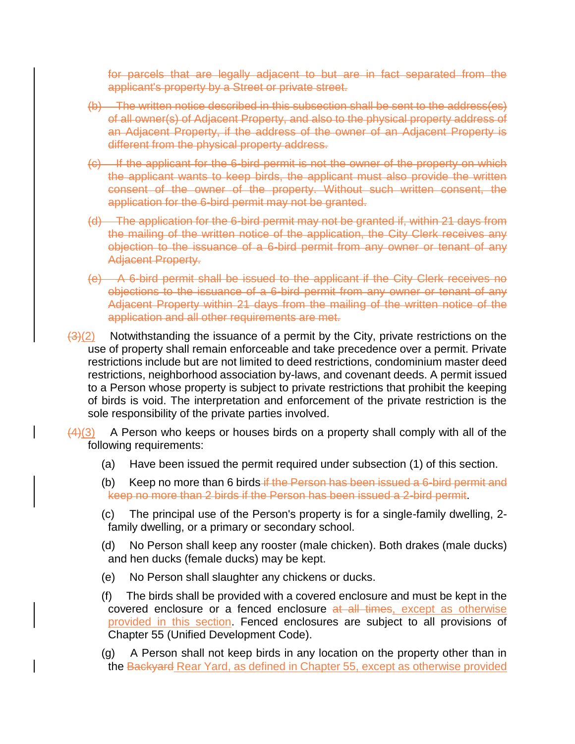for parcels that are legally adjacent to but are in fact separated from the applicant's property by a Street or private street.

- (b) The written notice described in this subsection shall be sent to the address(es) of all owner(s) of Adjacent Property, and also to the physical property address of an Adjacent Property, if the address of the owner of an Adjacent Property is different from the physical property address.
- (c) If the applicant for the 6-bird permit is not the owner of the property on which the applicant wants to keep birds, the applicant must also provide the written consent of the owner of the property. Without such written consent, the application for the 6-bird permit may not be granted.
- (d) The application for the 6-bird permit may not be granted if, within 21 days from the mailing of the written notice of the application, the City Clerk receives any objection to the issuance of a 6-bird permit from any owner or tenant of any Adjacent Property.
- (e) A 6-bird permit shall be issued to the applicant if the City Clerk receives no objections to the issuance of a 6-bird permit from any owner or tenant of any Adjacent Property within 21 days from the mailing of the written notice of the application and all other requirements are met.

 $\left(\frac{3}{2}\right)$  Notwithstanding the issuance of a permit by the City, private restrictions on the use of property shall remain enforceable and take precedence over a permit. Private restrictions include but are not limited to deed restrictions, condominium master deed restrictions, neighborhood association by-laws, and covenant deeds. A permit issued to a Person whose property is subject to private restrictions that prohibit the keeping of birds is void. The interpretation and enforcement of the private restriction is the sole responsibility of the private parties involved.

 $\frac{(4)(3)}{4}$  A Person who keeps or houses birds on a property shall comply with all of the following requirements:

- (a) Have been issued the permit required under subsection (1) of this section.
- (b) Keep no more than 6 birds if the Person has been issued a 6-bird permit and keep no more than 2 birds if the Person has been issued a 2-bird permit.
- (c) The principal use of the Person's property is for a single-family dwelling, 2 family dwelling, or a primary or secondary school.
- (d) No Person shall keep any rooster (male chicken). Both drakes (male ducks) and hen ducks (female ducks) may be kept.
- (e) No Person shall slaughter any chickens or ducks.
- (f) The birds shall be provided with a covered enclosure and must be kept in the covered enclosure or a fenced enclosure at all times, except as otherwise provided in this section. Fenced enclosures are subject to all provisions of Chapter 55 (Unified Development Code).
- (g) A Person shall not keep birds in any location on the property other than in the Backyard Rear Yard, as defined in Chapter 55, except as otherwise provided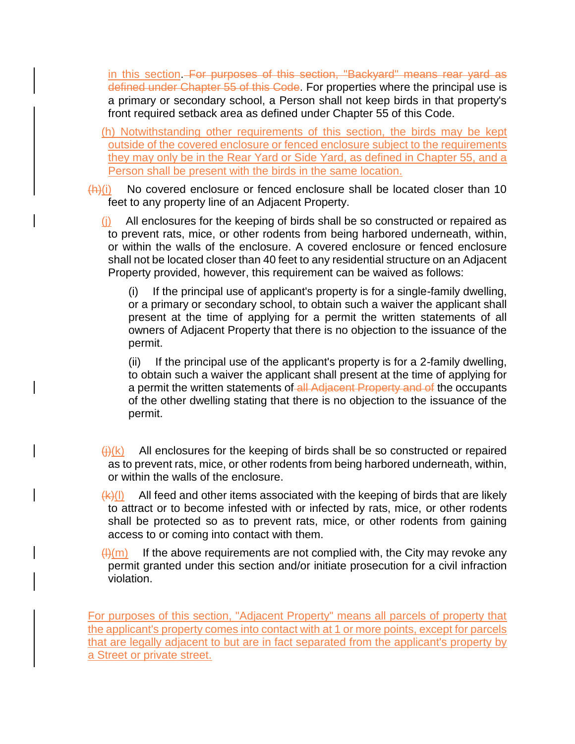in this section. For purposes of this section, "Backyard" means rear yard as defined under Chapter 55 of this Code. For properties where the principal use is a primary or secondary school, a Person shall not keep birds in that property's front required setback area as defined under Chapter 55 of this Code.

- (h) Notwithstanding other requirements of this section, the birds may be kept outside of the covered enclosure or fenced enclosure subject to the requirements they may only be in the Rear Yard or Side Yard, as defined in Chapter 55, and a Person shall be present with the birds in the same location.
- $(h)(i)$  No covered enclosure or fenced enclosure shall be located closer than 10 feet to any property line of an Adjacent Property.

(j) All enclosures for the keeping of birds shall be so constructed or repaired as to prevent rats, mice, or other rodents from being harbored underneath, within, or within the walls of the enclosure. A covered enclosure or fenced enclosure shall not be located closer than 40 feet to any residential structure on an Adjacent Property provided, however, this requirement can be waived as follows:

(i) If the principal use of applicant's property is for a single-family dwelling, or a primary or secondary school, to obtain such a waiver the applicant shall present at the time of applying for a permit the written statements of all owners of Adjacent Property that there is no objection to the issuance of the permit.

(ii) If the principal use of the applicant's property is for a 2-family dwelling, to obtain such a waiver the applicant shall present at the time of applying for a permit the written statements of all Adjacent Property and of the occupants of the other dwelling stating that there is no objection to the issuance of the permit.

- $\frac{f(x)}{f(x)}$  All enclosures for the keeping of birds shall be so constructed or repaired as to prevent rats, mice, or other rodents from being harbored underneath, within, or within the walls of the enclosure.
- $(k)(I)$  All feed and other items associated with the keeping of birds that are likely to attract or to become infested with or infected by rats, mice, or other rodents shall be protected so as to prevent rats, mice, or other rodents from gaining access to or coming into contact with them.
- $(H)(m)$  If the above requirements are not complied with, the City may revoke any permit granted under this section and/or initiate prosecution for a civil infraction violation.

For purposes of this section, "Adjacent Property" means all parcels of property that the applicant's property comes into contact with at 1 or more points, except for parcels that are legally adjacent to but are in fact separated from the applicant's property by a Street or private street.